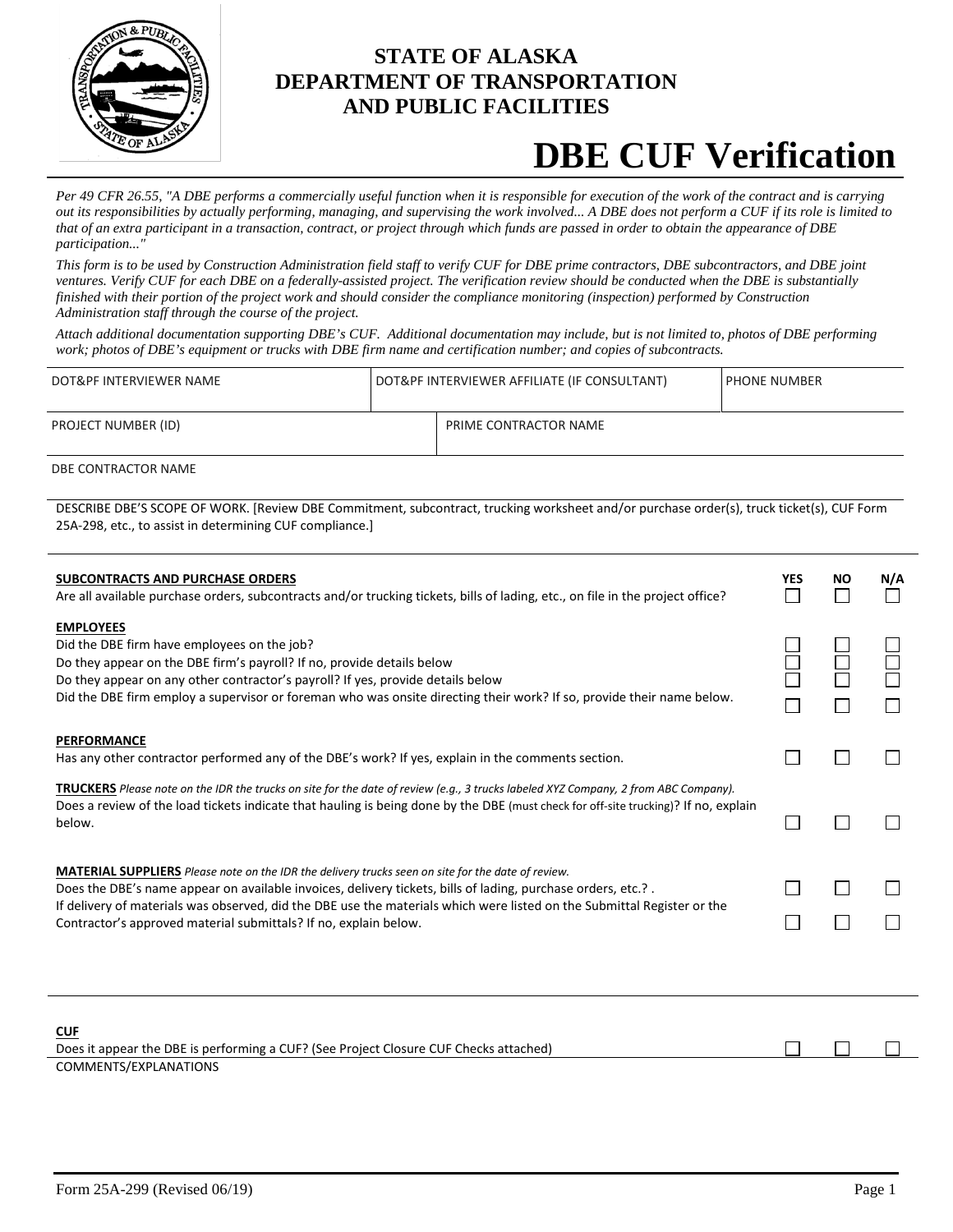

### **STATE OF ALASKA DEPARTMENT OF TRANSPORTATION AND PUBLIC FACILITIES**

# **DBE CUF Verification**

*Per 49 CFR 26.55, "A DBE performs a commercially useful function when it is responsible for execution of the work of the contract and is carrying out its responsibilities by actually performing, managing, and supervising the work involved... A DBE does not perform a CUF if its role is limited to that of an extra participant in a transaction, contract, or project through which funds are passed in order to obtain the appearance of DBE participation..."*

*This form is to be used by Construction Administration field staff to verify CUF for DBE prime contractors, DBE subcontractors, and DBE joint ventures. Verify CUF for each DBE on a federally-assisted project. The verification review should be conducted when the DBE is substantially finished with their portion of the project work and should consider the compliance monitoring (inspection) performed by Construction Administration staff through the course of the project.*

*Attach additional documentation supporting DBE's CUF. Additional documentation may include, but is not limited to, photos of DBE performing work; photos of DBE's equipment or trucks with DBE firm name and certification number; and copies of subcontracts.*

| DOT&PF INTERVIEWER NAME | DOT&PF INTERVIEWER AFFILIATE (IF CONSULTANT) |                       | <b>PHONE NUMBER</b> |
|-------------------------|----------------------------------------------|-----------------------|---------------------|
| PROJECT NUMBER (ID)     |                                              | PRIME CONTRACTOR NAME |                     |

DBE CONTRACTOR NAME

DESCRIBE DBE'S SCOPE OF WORK. [Review DBE Commitment, subcontract, trucking worksheet and/or purchase order(s), truck ticket(s), CUF Form 25A-298, etc., to assist in determining CUF compliance.]

| <b>SUBCONTRACTS AND PURCHASE ORDERS</b><br>Are all available purchase orders, subcontracts and/or trucking tickets, bills of lading, etc., on file in the project office?                                                                                                                                                                                                                                                | YES | NΟ | N/A |  |
|--------------------------------------------------------------------------------------------------------------------------------------------------------------------------------------------------------------------------------------------------------------------------------------------------------------------------------------------------------------------------------------------------------------------------|-----|----|-----|--|
| <b>EMPLOYEES</b>                                                                                                                                                                                                                                                                                                                                                                                                         |     |    |     |  |
| Did the DBE firm have employees on the job?                                                                                                                                                                                                                                                                                                                                                                              |     |    |     |  |
| Do they appear on the DBE firm's payroll? If no, provide details below                                                                                                                                                                                                                                                                                                                                                   |     |    |     |  |
| Do they appear on any other contractor's payroll? If yes, provide details below<br>Did the DBE firm employ a supervisor or foreman who was onsite directing their work? If so, provide their name below.                                                                                                                                                                                                                 |     |    |     |  |
| <b>PERFORMANCE</b>                                                                                                                                                                                                                                                                                                                                                                                                       |     |    |     |  |
| Has any other contractor performed any of the DBE's work? If yes, explain in the comments section.                                                                                                                                                                                                                                                                                                                       |     |    |     |  |
| TRUCKERS Please note on the IDR the trucks on site for the date of review (e.g., 3 trucks labeled XYZ Company, 2 from ABC Company).<br>Does a review of the load tickets indicate that hauling is being done by the DBE (must check for off-site trucking)? If no, explain<br>below.                                                                                                                                     |     |    |     |  |
| <b>MATERIAL SUPPLIERS</b> Please note on the IDR the delivery trucks seen on site for the date of review.<br>Does the DBE's name appear on available invoices, delivery tickets, bills of lading, purchase orders, etc.?.<br>If delivery of materials was observed, did the DBE use the materials which were listed on the Submittal Register or the<br>Contractor's approved material submittals? If no, explain below. |     |    |     |  |
|                                                                                                                                                                                                                                                                                                                                                                                                                          |     |    |     |  |
| <b>CUF</b>                                                                                                                                                                                                                                                                                                                                                                                                               |     |    |     |  |
| Does it appear the DBE is performing a CUF? (See Project Closure CUF Checks attached)                                                                                                                                                                                                                                                                                                                                    |     |    |     |  |
| COMMENTS/EXPLANATIONS                                                                                                                                                                                                                                                                                                                                                                                                    |     |    |     |  |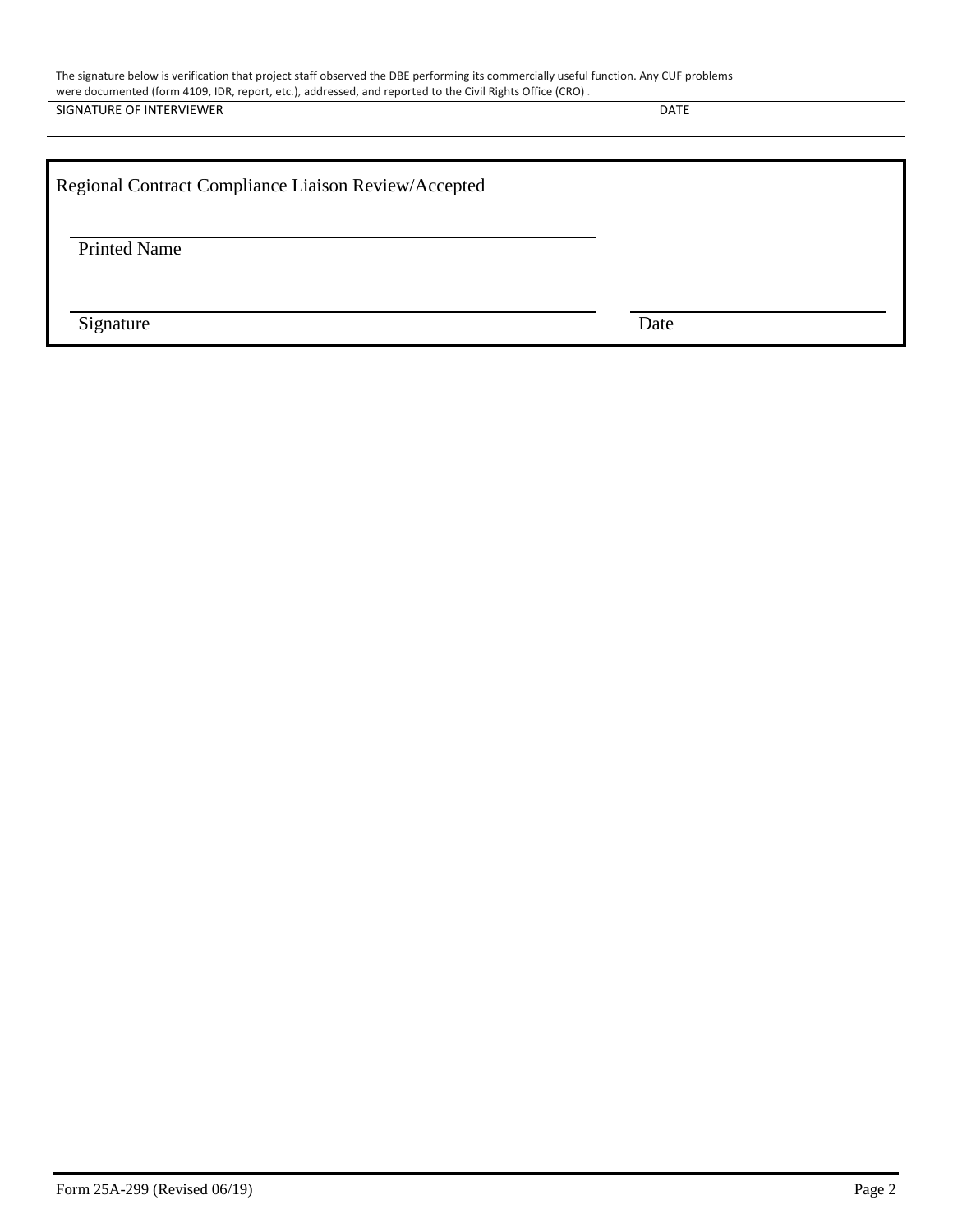| The signature below is verification that project staff observed the DBE performing its commercially useful function. Any CUF problems<br>were documented (form 4109, IDR, report, etc.), addressed, and reported to the Civil Rights Office (CRO). |             |  |  |  |
|----------------------------------------------------------------------------------------------------------------------------------------------------------------------------------------------------------------------------------------------------|-------------|--|--|--|
| SIGNATURE OF INTERVIEWER                                                                                                                                                                                                                           | <b>DATE</b> |  |  |  |
|                                                                                                                                                                                                                                                    |             |  |  |  |
| Regional Contract Compliance Liaison Review/Accepted                                                                                                                                                                                               |             |  |  |  |
|                                                                                                                                                                                                                                                    |             |  |  |  |
| <b>Printed Name</b>                                                                                                                                                                                                                                |             |  |  |  |
|                                                                                                                                                                                                                                                    |             |  |  |  |
|                                                                                                                                                                                                                                                    |             |  |  |  |
| Signature                                                                                                                                                                                                                                          | Date        |  |  |  |